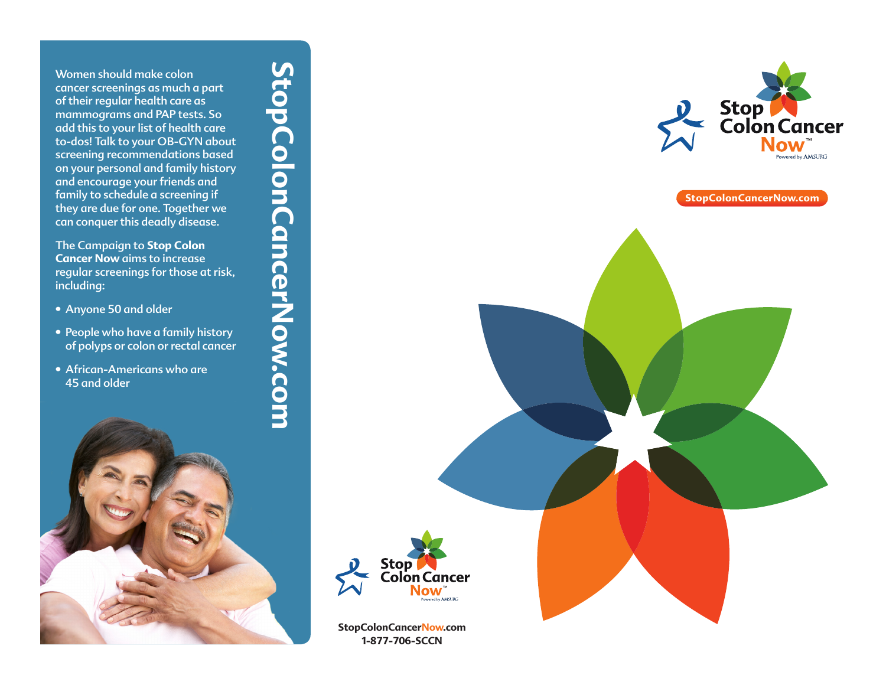Women should make colon cancer screenings as much a part of their regular health care as mammograms and PAP tests. So add this to your list of health care to-dos! Talk to your OB-GYN about screening recommendations based on your personal and family history and encourage your friends and family to schedule a screening if they are due for one. Together we can conquer this deadly disease.

The Campaign to **Stop Colon Cancer Now** aims to increase regular screenings for those at risk, including:

- 
- Anyone 50 and older People who have a family history of polyps or colon or rectal cancer
- African-Americans who are 45 and older





**StopColonCancerNow.com**



**StopColonCancerNow.com 1-877-706-SCCN**